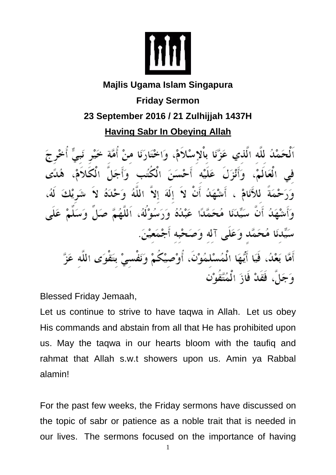

## **Majlis Ugama Islam Singapura Friday Sermon 23 September 2016 / 21 Zulhijjah 1437H Having Sabr In Obeying Allah**

ٱلْحَمْدُ للَّه الَّذي عَزَّنَا بِاْلاِسْلاَمْ، وَاخْتَارَنَا منْ أُمَّة فِي الْعَالَمْ، وَأَنْزَلَ عَلَيْه أَحْسَنَ الْكُتُبِ وَأَجَلَّ الْكَلاَمْ، وَرَحْمَةً للأَنَامْ ، أَشْهَدُ أَنْ لاَ إِلَهَ إِلاَّ اللَّهُ وَحْدَهُ لاَ بَدُ أَنَّ سَيِّدَنَا مُحَمَّدًا عَبْدُهُ وَرَسُوْلُهُ، اَللَّهُمَّ صَلٍّ وَسَ سَيِّدنَا مُحَمَّد وَعَلَى آله وَصَحْبه أَجْمَعيْنَ. أَيُّهَا الْمُسْلمُوْنَ، أُوْصِيْكُمْ وَنَفْسىْ بتَقْوَى اللَّه عَزَّ أَمَّا بَعْدُ، فَيَا وَجَلٌ، فَقَدْ فَازَ الْمُتَّقَوْن

Blessed Friday Jemaah,

Let us continue to strive to have taqwa in Allah. Let us obey His commands and abstain from all that He has prohibited upon us. May the taqwa in our hearts bloom with the taufiq and rahmat that Allah s.w.t showers upon us. Amin ya Rabbal alamin!

For the past few weeks, the Friday sermons have discussed on the topic of sabr or patience as a noble trait that is needed in our lives. The sermons focused on the importance of having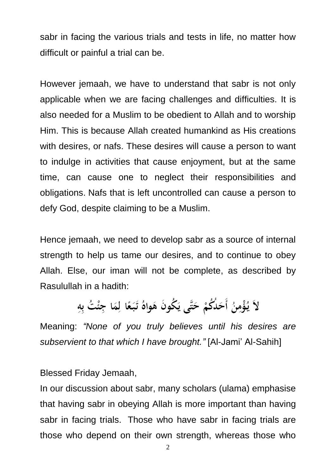sabr in facing the various trials and tests in life, no matter how difficult or painful a trial can be.

However jemaah, we have to understand that sabr is not only applicable when we are facing challenges and difficulties. It is also needed for a Muslim to be obedient to Allah and to worship Him. This is because Allah created humankind as His creations with desires, or nafs. These desires will cause a person to want to indulge in activities that cause enjoyment, but at the same time, can cause one to neglect their responsibilities and obligations. Nafs that is left uncontrolled can cause a person to defy God, despite claiming to be a Muslim.

Hence jemaah, we need to develop sabr as a source of internal strength to help us tame our desires, and to continue to obey Allah. Else, our iman will not be complete, as described by Rasulullah in a hadith:

## لاَ يُؤْمِنُ أَحَلُكُمْ حَتَّى يَكُونَ هَواهُ تَبَعًا لِمَا جِئْتُ بِهِ

Meaning: *"None of you truly believes until his desires are subservient to that which I have brought."* [Al-Jami' Al-Sahih]

Blessed Friday Jemaah,

In our discussion about sabr, many scholars (ulama) emphasise that having sabr in obeying Allah is more important than having sabr in facing trials. Those who have sabr in facing trials are those who depend on their own strength, whereas those who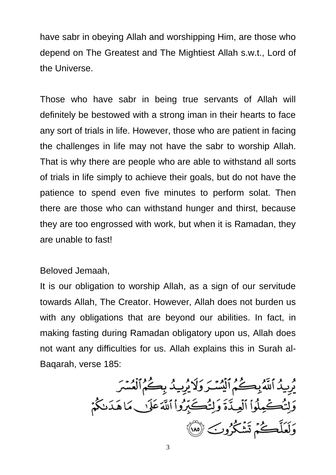have sabr in obeying Allah and worshipping Him, are those who depend on The Greatest and The Mightiest Allah s.w.t., Lord of the Universe.

Those who have sabr in being true servants of Allah will definitely be bestowed with a strong iman in their hearts to face any sort of trials in life. However, those who are patient in facing the challenges in life may not have the sabr to worship Allah. That is why there are people who are able to withstand all sorts of trials in life simply to achieve their goals, but do not have the patience to spend even five minutes to perform solat. Then there are those who can withstand hunger and thirst, because they are too engrossed with work, but when it is Ramadan, they are unable to fast!

## Beloved Jemaah,

It is our obligation to worship Allah, as a sign of our servitude towards Allah, The Creator. However, Allah does not burden us with any obligations that are beyond our abilities. In fact, in making fasting during Ramadan obligatory upon us, Allah does not want any difficulties for us. Allah explains this in Surah al-Baqarah, verse 185:

يُرِيدُ ٱللَّهُ بِكُمُ ٱلۡمُسۡدَوَلَا يُرِيدُ بِكُمُ ٱلۡعُسۡرَ وَلِّتُكْمِلُواْ ٱلْعِـٰذَّةَ وَلِتُكَبِّرُواْ ٱللَّهَ عَلَىٰ مَا هَدَىٰكُمْ وَلَعَلَّكُمْ تَشْكُرُوبَ لَهُلَّ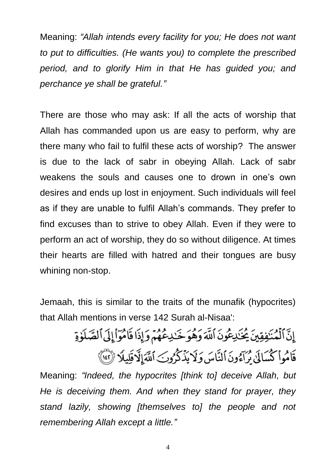Meaning: *"Allah intends every facility for you; He does not want to put to difficulties. (He wants you) to complete the prescribed period, and to glorify Him in that He has guided you; and perchance ye shall be grateful."*

There are those who may ask: If all the acts of worship that Allah has commanded upon us are easy to perform, why are there many who fail to fulfil these acts of worship? The answer is due to the lack of sabr in obeying Allah. Lack of sabr weakens the souls and causes one to drown in one's own desires and ends up lost in enjoyment. Such individuals will feel as if they are unable to fulfil Allah's commands. They prefer to find excuses than to strive to obey Allah. Even if they were to perform an act of worship, they do so without diligence. At times their hearts are filled with hatred and their tongues are busy whining non-stop.

Jemaah, this is similar to the traits of the munafik (hypocrites) that Allah mentions in verse 142 Surah al-Nisaa':

> إِنَّ ٱلۡمُنۡفِقِينَ يُحۡنَٰلِـعُونَ ٱللَّهَ وَهُوَ خَـٰلِـعُهُمۡ وَإِذَا قَامُوٓا۟إِلَى ٱلصَّلَوٰةِ قَامُواْ كُسَالَىٰ مُرَآءُونَ ٱلنَّاسَ وَلَا يَذۡكُرُونَ ٱللَّهَالَّاقَلِلَّا ۚ لِٓآ ۚ لَا ۖ وَلَا يَنَا

Meaning: *"Indeed, the hypocrites [think to] deceive Allah, but He is deceiving them. And when they stand for prayer, they stand lazily, showing [themselves to] the people and not remembering Allah except a little."*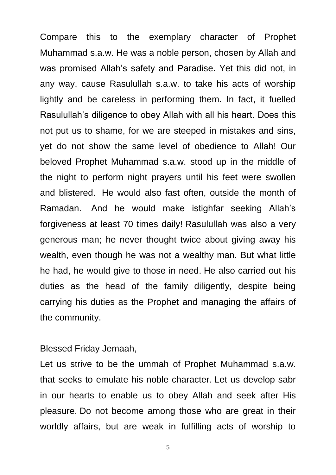Compare this to the exemplary character of Prophet Muhammad s.a.w. He was a noble person, chosen by Allah and was promised Allah's safety and Paradise. Yet this did not, in any way, cause Rasulullah s.a.w. to take his acts of worship lightly and be careless in performing them. In fact, it fuelled Rasulullah's diligence to obey Allah with all his heart. Does this not put us to shame, for we are steeped in mistakes and sins, yet do not show the same level of obedience to Allah! Our beloved Prophet Muhammad s.a.w. stood up in the middle of the night to perform night prayers until his feet were swollen and blistered. He would also fast often, outside the month of Ramadan. And he would make istighfar seeking Allah's forgiveness at least 70 times daily! Rasulullah was also a very generous man; he never thought twice about giving away his wealth, even though he was not a wealthy man. But what little he had, he would give to those in need. He also carried out his duties as the head of the family diligently, despite being carrying his duties as the Prophet and managing the affairs of the community.

Blessed Friday Jemaah,

Let us strive to be the ummah of Prophet Muhammad s.a.w. that seeks to emulate his noble character. Let us develop sabr in our hearts to enable us to obey Allah and seek after His pleasure. Do not become among those who are great in their worldly affairs, but are weak in fulfilling acts of worship to

5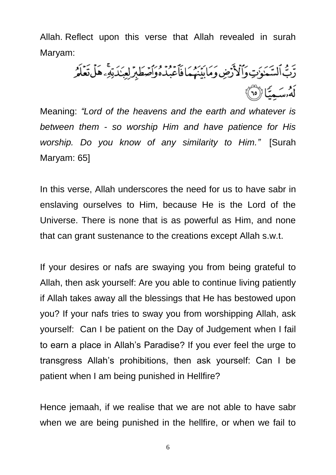Allah. Reflect upon this verse that Allah revealed in surah Maryam:

رَّبُّ اَلسَّمَوَٰتِ وَٱلْأَرْضِ وَمَابَيْنَهُمَا فَأَعْبُدُهُ وَأَصْطَبِرَ لِعِبَدَتِهِۦ هَلْ تَعَلَّمُ أَمْرِسَهِ يَبَالْأَهْلَىٰ

Meaning: *"Lord of the heavens and the earth and whatever is between them - so worship Him and have patience for His worship. Do you know of any similarity to Him."* [Surah Maryam: 65]

In this verse, Allah underscores the need for us to have sabr in enslaving ourselves to Him, because He is the Lord of the Universe. There is none that is as powerful as Him, and none that can grant sustenance to the creations except Allah s.w.t.

If your desires or nafs are swaying you from being grateful to Allah, then ask yourself: Are you able to continue living patiently if Allah takes away all the blessings that He has bestowed upon you? If your nafs tries to sway you from worshipping Allah, ask yourself: Can I be patient on the Day of Judgement when I fail to earn a place in Allah's Paradise? If you ever feel the urge to transgress Allah's prohibitions, then ask yourself: Can I be patient when I am being punished in Hellfire?

Hence jemaah, if we realise that we are not able to have sabr when we are being punished in the hellfire, or when we fail to

6